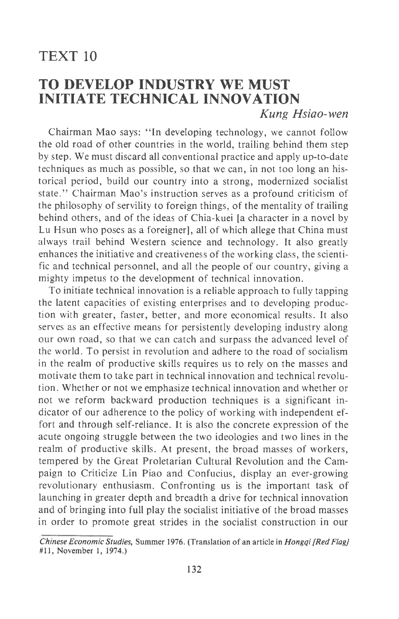## TEXT 10

## TO DEVELOP INDUSTRY WE MUST INITIATE TECHNICAL INNOVATION Kung Hsiao-wen

Chairman Mao says: "In developing technology, we cannot follow the old road of other countries in the world, trailing behind them step by step. We must discard all conventional practice and apply up-to-date techniques as much as possible, so that we can, in not too long an historical period, build our country into a strong, modernized socialist state." Chairman Mao's instruction serves as a profound criticism of the philosophy of servility to foreign things, of the mentality of trailing behind others, and of the ideas of Chia-kuei [a character in a novel by Lu Hsun who poses as a foreigner], all of which allege that China must always trail behind Western science and technology. It also greatly enhances the initiative and creativeness of the working class, the scientific and technical personnel, and all the people of our country, giving a mighty impetus to the development of technical innovation.

To initiate technical innovation is a reliable approach to fully tapping the latent capacities of existing enterprises and to developing production with greater, faster, better, and more economical results. It also serves as an effective means for persistently developing industry along our own road, so that we can catch and surpass the advanced level of the world. To persist in revolution and adhere to the road of socialism in the realm of productive skills requires us to rely on the masses and motivate them to take part in technical innovation and technical revolution. Whether or not we emphasize technical innovation and whether or not we reform backward production techniques is a significant indicator of our adherence to the policy of working with independent effort and through self-reliance. It is also the concrete expression of the acute ongoing struggle between the two ideologies and two lines in the realm of productive skills. At present, the broad masses of workers, tempered by the Great Proletarian Cultural Revolution and the Campaign to Criticize Lin Piao and Confucius, display an ever-growing revolutionary enthusiasm. Confronting us is the important task of launching in greater depth and breadth a drive for technical innovation and of bringing into full play the socialist initiative of the broad masses in order to promote great strides in the socialist construction in our

Chinese Economic Studies, Summer 1976. (Translation of an article in Hongqi [Red Flag] #ll, November 1, 1974.)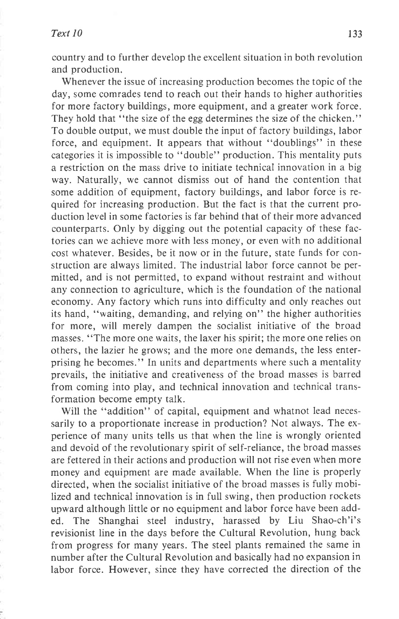## $Text\,10$  133

country and to further develop the excellent situation in both revolution and production.

Whenever the issue of increasing production becomes the topic of the day, some comrades tend to reach out their hands to higher authorities for more factory buildings, more equipment, and a greater work force. They hold that "the size of the egg determines the size of the chicken." To double output, we must double the input of factory buildings, labor force, and equipment. It appears that without "doublings" in these categories it is impossible to "double" production. This mentality puts a restriction on the mass drive to initiate technical innovation in a big way. Naturally, we cannot dismiss out of hand the contention that some addition of equipment, factory buildings, and labor force is required for increasing production. But the fact is that the current production level in some factories is far behind that of their more advanced counterparts. Only by digging out the potential capacity of these factories can we achieve more with less money, or even with no additional cost whatever. Besides, be it now or in the future, state funds for construction are always limited. The industrial labor force cannot be permitted, and is not permitted, to expand without restraint and without any connection to agriculture, which is the foundation of the national economy. Any factory which runs into difficulty and only reaches out its hand, "waiting, demanding, and relying on" the higher authorities for more, will merely dampen the socialist initiative of the broad masses. "The more one waits, the laxer his spirit; the more one relies on others, the lazier he grows; and the more one demands, the less enterprising he becomes." In units and departments where such a mentality prevails, the initiative and creativeness of the broad masses is barred from coming into play, and technical innovation and technical transformation become empty talk.

Will the "addition" of capital, equipment and whatnot lead necessarily to a proportionate increase in production? Not always. The experience of many units tells us that when the line is wrongly oriented and devoid of the revolutionary spirit of self-reliance, the broad masses are fettered in their actions and production will not rise even when more money and equipment are made available. When the line is properly directed, when the socialist initiative of the broad masses is fully mobilized and technical innovation is in full swing, then production rockets upward although little or no equipment and labor force have been added. The Shanghai steel industry, harassed by Liu Shao-ch'i's revisionist line in the days before the Cultural Revolution, hung back from progress for many years. The steel plants remained the same in number after the Cultural Revolution and basically had no expansion in labor force. However, since they have corrected the direction of the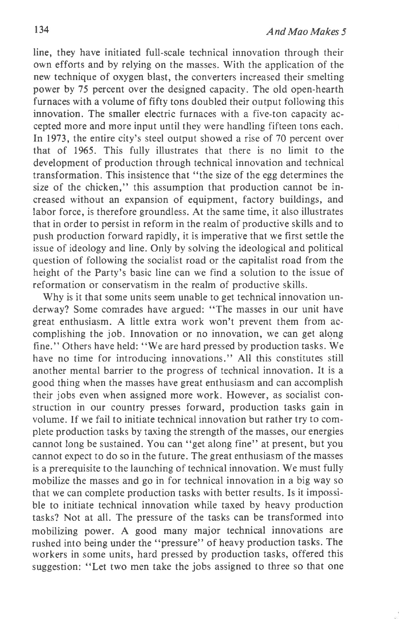Iine, they have initiated full-scale technical innovation through their own efforts and by relying on the masses. With the application of the new technique of oxygen blast, the converters increased their smelting power by 75 percent over the designed capacity. The old open-hearth furnaces with a volume of fifty tons doubled their output following this innovation. The smaller electric furnaces with a five-ton capacity accepted more and more input until they were handling fifteen tons each. ln 1973, the entire city's steel output showed a rise of 70 percent over that of 1965. This fully illustrates that there is no limit to the development of production through technical innovation and technical transformation. This insistence that "the size of the egg determines the size of the chicken," this assumption that production cannot be increased without an expansion of equipment, factory buildings, and labor force, is therefore groundless. At the same time, it also illustrates that in order to persist in reform in the realm of productive skills and to push production forward rapidly, it is imperative that we first settle the issue of ideology and line. Only by solving the ideological and political question of following the socialist road or the capitalist road from the height of the Party's basic line can we find a solution to the issue of reformation or conservatism in the realm of productive skills.

Why is it that some units seem unable to get technical innovation underway? Some comrades have argued: "The masses in our unit have great enthusiasm. A little extra work won't prevent them from accomplishing the job. Innovation or no innovation, we can get along fine." Others have held: "We are hard pressed by production tasks. We have no time for introducing innovations." All this constitutes still another mental barrier to the progress of technical innovation. It is <sup>a</sup> good thing when the masses have great enthusiasm and can accomplish their jobs even when assigned more work. However, as socialist construction in our country presses forward, production tasks gain in volume. If we fail to initiate technical innovation but rather try to complete production tasks by taxing the strength of the masses, our energies cannot long be sustained. You can "get along fine" at present, but you cannot expect to do so in the future. The great enthusiasm of the masses is a prerequisite to the launching of technical innovation. We must fully mobilize the masses and go in for technical innovation in a big way so that we can complete production tasks with better results. Is it impossible to initiate technical innovation while taxed by heavy production tasks? Not at all. The pressure of the tasks can be transformed into mobilizing power. A good many major technical innovations are rushed into being under the "pressure" of heavy production tasks. The workers in some units, hard pressed by production tasks, offered this suggestion: "Let two men take the jobs assigned to three so that one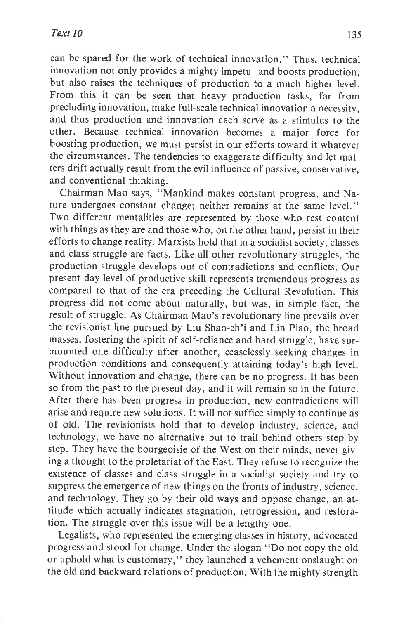can be spared for the work of technical innovation." Thus, technical innovation not only provides a mighty impetu and boosts production, but also raises the techniques of production to a much higher level. From this it can be seen that heavy production tasks, far from precluding innovation, make full-scale technical innovation a necessity, and thus production and innovation each serve as a stimulus to the other. Because technical innovation becomes a major force for boosting production, we must persist in our efforts toward it whatever the circumstances. The tendencies to exaggerate difficulty and let matters drift actually result from the evil influence of passive, conservative, and conventional thinking.

Chairman Mao says, "Mankind makes constant progress, and Nature undergoes constant change; neither remains at the same level." Two different mentalities are represented by those who rest content with things as they are and those who, ori the other hand, persist in their efforts to change reality. Marxists hotd that in a socialist society, classes and class struggle are facts. Like all other revolutionary struggles, the production struggle develops out of contradictions and conflicts. Our present-day level of productive skill represents tremendous progress as compared to that of the era preceding the Cultural Revolution. This progress did not come about naturally, but was, in simple fact, the result of struggle. As Chairman Mao's revolutionary line prevails over the revisionist line pursued by Liu Shao-ch'i and Lin Piao, the broad masses, fostering the spirit of self-reliance and hard struggle, have surmounted one difficulty after another, ceaselessly seeking changes in production conditions and consequently attaining today's high level. Without innovation and change, there can be no progress. It has been so from the past to the present day, and it will remain so in the future. After there has been progress in production, new contradictions will arise and require new solutions. It will not suffice simply to continue as of old. The revisionists hold that to develop industry, science, and technology, we have no alternative but to trail behind others step by step. They have the bourgeoisie of the West on their minds, never giving a thought to the proletariat of the East. They refuse to recognize the existence of classes and class struggle in a socialist society and try to suppress the emergence of new things on the fronts of industry, science, and technology. They go by their old ways and oppose change, an attitude which actually indicates stagnation, retrogression, and restoration. The struggle over this issue will be a lengthy one.

Legalists, who represented the emerging classes in history, advocated progress and stood for change. Under the slogan "Do not copy the old or uphold what is customary," they launched a vehement onslaught on the old and backward relations of production. With the mighty strength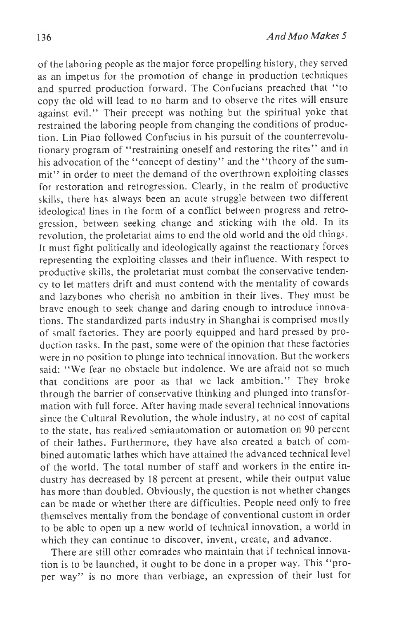of the laboring people as the major force propelling history, they served as an impetus for the promotion of change in production techniques and spurred production forward. The Confucians preached that "to copy the old will lead to no harm and to observe the rites will ensure against evil." Their precept was nothing but the spiritual yoke that restrained the laboring people from changing the conditions of production. Lin Piao followed Confucius in his pursuit of the counterrevolutionary program of "restraining oneself and restoring the rites" and in his advocation of the "concept of destiny" and the "theory of the summit" in order to meet the demand of the overthrown exploiting classes for restoration and retrogression. Clearly, in the realm of productive skills, there has always been an acute struggle between two different ideological lines in the form of a conflict between progress and retrogression, between seeking change and sticking with the old. In its revolution, the proletariat aims to end the old world and the old things. It must fight politically and ideologically against the reactionary forces representing the exploiting classes and their influence. With respect to productive skills, the proletariat must combat the conservative tendency to let matters drift and must contend with the mentality of cowards and lazybones who cherish no ambition in their lives. They must be brave enough to seek change and daring enough to introduce innovations. The standardized parts industry in Shanghai is comprised mostly of small factories. They are poorly equipped and hard pressed by production tasks. In the past, some were of the opinion that these factories were in no position to plunge into technical innovation. But the workers said: "We fear no obstacle but indolence. We are afraid not so much that conditions are poor as that we lack ambition." They broke through the barrier of conservative thinking and plunged into transformation with full force. After having made several technical innovations since the Cultural Revolution, the whole industry, at no cost of capital to the state, has realized semiautomation or automation on 90 percent of their lathes. Furthermore, they have also created a batch of combined automatic lathes which have attained the advanced technical level of the world. The total number of staff and workers in the entire industry has decreased by 18 percent at present, while their output value has more than doubled. Obviously, the question is not whether changes can be made or whether there are difficulties. People need only to free themselves mentally from the bondage of conventional custom in order to be able to open up a new world of technical innovation, a world in which they can continue to discover, invent, create, and advance.

There are still other comrades who maintain that if technical innovation is to be launched, it ought to be done in a proper way. This "proper way" is no more than verbiage, an expression of their lust for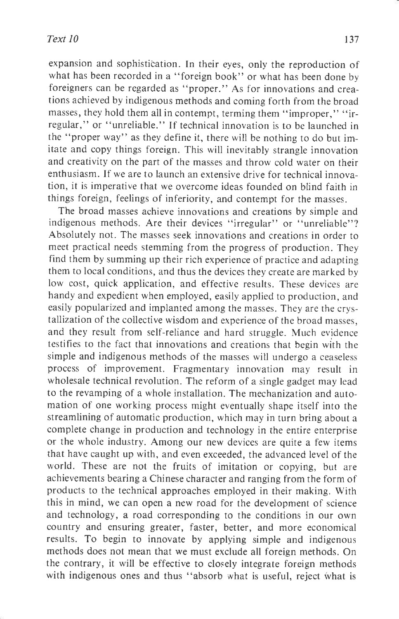expansion and sophistication. In their eyes, only the reproduction of what has been recorded in a "foreign book" or what has been done by foreigners can be regarded as "proper." As for innovations and creations achieved by indigenous methods and coming forth from the broad masses, they hold them all in contempt, terming them "improper," "irregular," or "unreliable." If technical innovation is to be launched in the "proper way" as they define it, there will be nothing to do but imitate and copy things foreign. This will inevitably strangle innovation and creativity on the part of the masses and throw cold water on their enthusiasm. If we are to launch an extensive drive for technical innovation, it is imperative that we overcome ideas founded on blind faith in things foreign, feelings of inferiority, and contempt for the masses.

The broad masses achieve innovations and creations by simple and indigenous methods. Are their devices "irregular" or "unreliable"? Absolutely not. The masses seek innovations and creations in order to meet practical needs stemming from the progress of production. They find them by summing up their rich experience of practice and adapting them to local conditions, and thus the devices they create are marked by low cost, quick application, and effective results. These devices are handy and expedient when employed, easily applied to production, and easily popularized and implanted among the masses. They are rhe crystallization of the collective wisdom and experience of the broad masses, and they result from self-reliance and hard struggle. Mueh evidence testifies to the fact that innovations and creations that begin with the simple and indigenous methods of the masses will undergo a ceaseless process of improvement. Fragmentary innovation may result in wholesale technical revolution. The reform of a single gadget may lead to the revamping of a whole installation. The mechanization and automation of one working process might eventually shape itself into the streamlining of automatic production, which may in turn bring about <sup>a</sup> complete change in production and technology in the entire enterprise or the whole industry. Among our new devices are quite a few items that have caught up with, and even exceeded, the advanced level of the world. These are not the fruits of imitation or copying, but are achievements bearing a Chinese character and ranging from the form of products to the technical approaches employed in their making. With this in mind, we can open a new road for the development of science and technology, a road corresponding to the conditions in our own country and ensuring greater, faster, better, and more economical results. To begin to innovate by applying simple and indigenous methods does not mean that we must exclude all foreign methods. On the contrary, it will be effective to closely integrate foreign methods with indigenous ones and thus "absorb what is useful, reject what is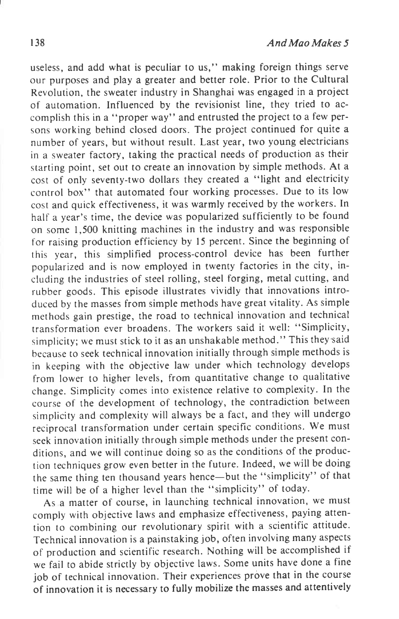useless, and add what is peculiar to us," making foreign things serve our purposes and play a greater and better role. Prior to the Cultural Revolution, the sweater industry in Shanghai was engaged in a project of automation. Influenced by the revisionist line, they tried to accomplish this in a "proper way" and entrusted the project to a few persons working behind closed doors. The project continued for quite <sup>a</sup> number of years, but without result. Last year, two young electricians in a sweater factory, taking the practical needs of production as their starting point, set out to create an innovation by simple methods. At <sup>a</sup> cost of only seventy-two dollars they created a "light and electricity control box" that automated four working processes. Due to its low cost and quick effectiveness, it was warmly received by the workers. In half a year's time, the device was popularized sufficiently to be found on some 1,500 knitting machines in the industry and was responsible for raising production efficiency by 15 percent. Since the beginning of this year, this simplified process-control device has been further popularized and is now employed in twenty factories in the city, including the industries of steel rolling, steel forging, metal cutting, and rubber goods. This episode illustrates vividly that innovations introduced by the masses from simple methods have great vitality. As simple methods gain prestige, the road to technical innovation and technical transformation ever broadens. The workers said it well: "Simplicity, simplicity; we must stick to it as an unshakable method." This they said because to seek technical innovation initially through simple methods is in keeping with the objective law under which technology develops from lower to higher levels, from quantitative change to qualitative change. Simplicity comes into existence relative to complexity. In the course of the development of technology, the contradiction between simplicity and complexity will always be a fact, and they will undergo reciprocal transformation under certain specific conditions. We must seek innovation initially through simple methods under the present conditions, and we will continue doing so as the conditions of the production techniques grow even better in the future. Indeed, we will be doing the same thing ten thousand years hence-but the "simplicity" of that time will be of a higher level than the "simplicity" of today.

As a matter of course, in launching technical innovation, we must comply with objective laws and emphasize eflectiveness, paying attention to combining our revolutionary spirit with a scientific attitude. Technical innovation is a painstaking job, often involving many aspects of production and scientific research. Nothing will be accomplished if we fail to abide strictly by objective laws. Some units have done a fine job of technical innovation. Their experiences prove that in the course of innovation it is necessary to fully mobilize the masses and attentively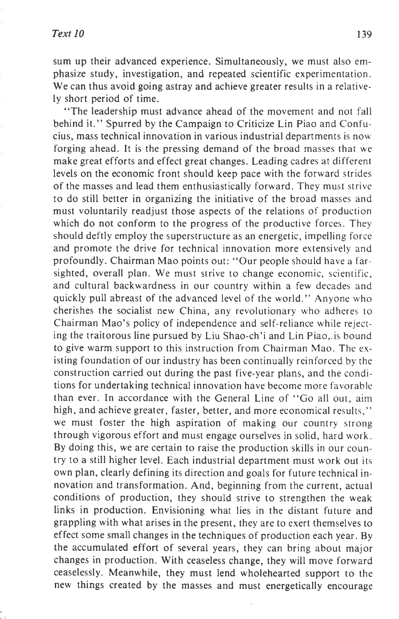sum up their advanced experience. Simultaneously, we must also emphasize study, investigation, and repeated scientific experimentation. We can thus avoid going astray and achieve greater results in a relatively short period of time.

"The leadership must advance ahead of the movement and not fall behind it." Spurred by the Campaign to Criticize Lin Piao and Confucius, mass technical innovation in various industrial departments is now' forging ahead. It is the pressing demand of the broad masses that we make great efforts and effect great changes. Leading cadres at different levels on the economic front should keep pace with the forward strides of the masses and lead them enthusiastically forward. They must strive to do still better in organizing the initiative of the broad masses and must voluntarily readjust those aspects of the relations of production which do not conform to the progress of the productive forces. They should deftly employ the superstructure as an energetic, impelling force and promote the drive for technical innovation more extensively and profoundly. Chairman Mao points out: "Our people should have a farsighted, overall plan. We must strive to change economic, scientific, and cultural backwardness in our country within a few decades and quickly pull abreast of the advanced level of the world." Anyone who cherishes the socialist new China, any revolutionary who adheres to Chairman Mao's policy of independence and self-reliance while rejecting the traitorous line pursued by Liu Shao-ch'i and Lin Piao,, is bound to give warm support to this instruction from Chairman Mao. The existing foundation of our industry has been continually reinforced by the construction carried out during the past five-year plans, and the conditions for undertaking technical innovation have become more favorable than ever. In accordance with the Ceneral Line of "Go all out, aim high, and achieve greater, faster, better, and more economical results," we must foster the high aspiration of making our country srrong through vigorous effort and must engage ourselves in solid, hard work. By doing this, we are certain to raise the production skills in our country to a still higher level. Each industrial department must work out its own plan, clearly defining its direction and goals for future technical innovation and transformation. And, beginning from the current, actual conditions of production, they should strive to strengthen the weak links in production. Envisioning what lies in the distant future and grappling with what arises in the present, they are to exert themselves to effect some small changes in the techniques of production each year. By the accumulated effort of several years, they can bring about major changes in production. With ceaseless change, they will move forward ceaselessly. Meanwhile, they must lend wholehearted support to the new things created by the masses and must energetically encourage